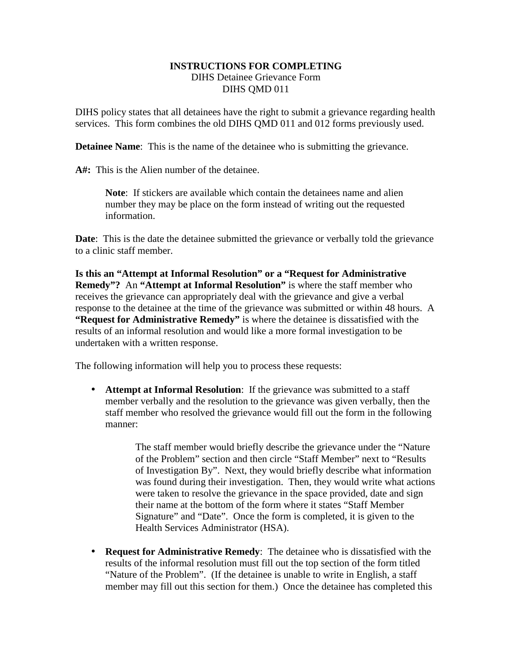## **INSTRUCTIONS FOR COMPLETING**  DIHS Detainee Grievance Form DIHS QMD 011

DIHS policy states that all detainees have the right to submit a grievance regarding health services. This form combines the old DIHS QMD 011 and 012 forms previously used.

**Detainee Name:** This is the name of the detainee who is submitting the grievance.

**A#:** This is the Alien number of the detainee.

**Note**: If stickers are available which contain the detainees name and alien number they may be place on the form instead of writing out the requested information.

**Date:** This is the date the detainee submitted the grievance or verbally told the grievance to a clinic staff member.

**Is this an "Attempt at Informal Resolution" or a "Request for Administrative Remedy"?** An **"Attempt at Informal Resolution"** is where the staff member who receives the grievance can appropriately deal with the grievance and give a verbal response to the detainee at the time of the grievance was submitted or within 48 hours. A **"Request for Administrative Remedy"** is where the detainee is dissatisfied with the results of an informal resolution and would like a more formal investigation to be undertaken with a written response.

The following information will help you to process these requests:

• **Attempt at Informal Resolution**: If the grievance was submitted to a staff member verbally and the resolution to the grievance was given verbally, then the staff member who resolved the grievance would fill out the form in the following manner:

> The staff member would briefly describe the grievance under the "Nature of the Problem" section and then circle "Staff Member" next to "Results of Investigation By". Next, they would briefly describe what information was found during their investigation. Then, they would write what actions were taken to resolve the grievance in the space provided, date and sign their name at the bottom of the form where it states "Staff Member Signature" and "Date". Once the form is completed, it is given to the Health Services Administrator (HSA).

• **Request for Administrative Remedy**: The detainee who is dissatisfied with the results of the informal resolution must fill out the top section of the form titled "Nature of the Problem". (If the detainee is unable to write in English, a staff member may fill out this section for them.) Once the detainee has completed this